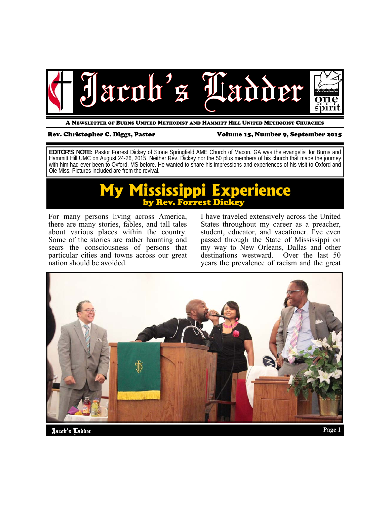

A NEWSLETTER OF BURNS UNITED METHODIST AND HAMMITT HILL UNITED METHODIST CHURCHES

### Rev. Christopher C. Diggs, Pastor Volume 15, Number 9, September 2015

**EDITOR'S NOTE:** Pastor Forrest Dickey of Stone Springfield AME Church of Macon, GA was the evangelist for Burns and Hammitt Hill UMC on August 24-26, 2015. Neither Rev. Dickey nor the 50 plus members of his church that made the journey with him had ever been to Oxford, MS before. He wanted to share his impressions and experiences of his visit to Oxford and Ole Miss. Pictures included are from the revival.

# **My Mississippi Experience Rev. Forrest Dickey**

For many persons living across America, there are many stories, fables, and tall tales about various places within the country. Some of the stories are rather haunting and sears the consciousness of persons that particular cities and towns across our great nation should be avoided.

I have traveled extensively across the United States throughout my career as a preacher, student, educator, and vacationer. I've even passed through the State of Mississippi on my way to New Orleans, Dallas and other destinations westward. Over the last 50 years the prevalence of racism and the great

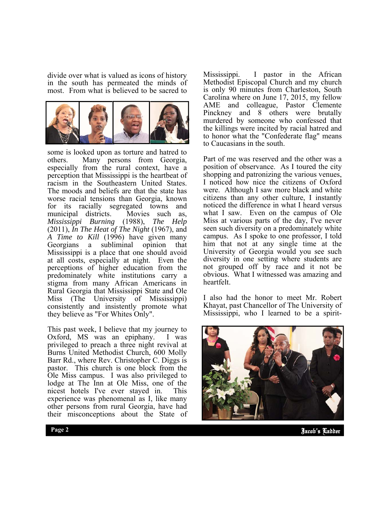divide over what is valued as icons of history in the south has permeated the minds of most. From what is believed to be sacred to



some is looked upon as torture and hatred to others. Many persons from Georgia, especially from the rural context, have a perception that Mississippi is the heartbeat of racism in the Southeastern United States. The moods and beliefs are that the state has worse racial tensions than Georgia, known for its racially segregated towns and municipal districts. Movies such as, *Mississippi Burning* (1988), *The Help*  (2011), *In The Heat of The Night* (1967), and *A Time to Kill* (1996) have given many Georgians a subliminal opinion that Mississippi is a place that one should avoid at all costs, especially at night. Even the perceptions of higher education from the predominately white institutions carry a stigma from many African Americans in Rural Georgia that Mississippi State and Ole Miss (The University of Mississippi) consistently and insistently promote what they believe as "For Whites Only".

This past week, I believe that my journey to Oxford, MS was an epiphany. I was privileged to preach a three night revival at Burns United Methodist Church, 600 Molly Barr Rd., where Rev. Christopher C. Diggs is pastor. This church is one block from the Ole Miss campus. I was also privileged to lodge at The Inn at Ole Miss, one of the nicest hotels I've ever stayed in. This experience was phenomenal as I, like many other persons from rural Georgia, have had their misconceptions about the State of

Mississippi. I pastor in the African Methodist Episcopal Church and my church is only 90 minutes from Charleston, South Carolina where on June 17, 2015, my fellow AME and colleague, Pastor Clemente Pinckney and 8 others were brutally murdered by someone who confessed that the killings were incited by racial hatred and to honor what the "Confederate flag" means to Caucasians in the south.

Part of me was reserved and the other was a position of observance. As I toured the city shopping and patronizing the various venues, I noticed how nice the citizens of Oxford were. Although I saw more black and white citizens than any other culture, I instantly noticed the difference in what I heard versus what I saw. Even on the campus of Ole Miss at various parts of the day, I've never seen such diversity on a predominately white campus. As I spoke to one professor, I told him that not at any single time at the University of Georgia would you see such diversity in one setting where students are not grouped off by race and it not be obvious. What I witnessed was amazing and heartfelt.

I also had the honor to meet Mr. Robert Khayat, past Chancellor of The University of Mississippi, who I learned to be a spirit-



Jacob's Ladder **Page 2**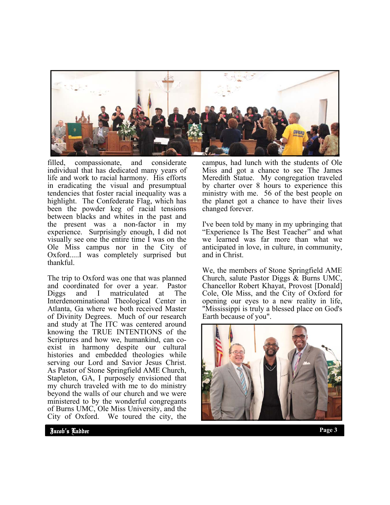

filled, compassionate, and considerate individual that has dedicated many years of life and work to racial harmony. His efforts in eradicating the visual and presumptual tendencies that foster racial inequality was a highlight. The Confederate Flag, which has been the powder keg of racial tensions between blacks and whites in the past and the present was a non-factor in my experience. Surprisingly enough, I did not visually see one the entire time I was on the Ole Miss campus nor in the City of Oxford.....I was completely surprised but thankful.

The trip to Oxford was one that was planned and coordinated for over a year. Pastor Diggs and I matriculated at The Interdenominational Theological Center in Atlanta, Ga where we both received Master of Divinity Degrees. Much of our research and study at The ITC was centered around knowing the TRUE INTENTIONS of the Scriptures and how we, humankind, can coexist in harmony despite our cultural histories and embedded theologies while serving our Lord and Savior Jesus Christ. As Pastor of Stone Springfield AME Church, Stapleton, GA, I purposely envisioned that my church traveled with me to do ministry beyond the walls of our church and we were ministered to by the wonderful congregants of Burns UMC, Ole Miss University, and the City of Oxford. We toured the city, the

campus, had lunch with the students of Ole Miss and got a chance to see The James Meredith Statue. My congregation traveled by charter over 8 hours to experience this ministry with me. 56 of the best people on the planet got a chance to have their lives changed forever.

I've been told by many in my upbringing that "Experience Is The Best Teacher" and what we learned was far more than what we anticipated in love, in culture, in community, and in Christ.

We, the members of Stone Springfield AME Church, salute Pastor Diggs & Burns UMC, Chancellor Robert Khayat, Provost [Donald] Cole, Ole Miss, and the City of Oxford for opening our eyes to a new reality in life, "Mississippi is truly a blessed place on God's Earth because of you".